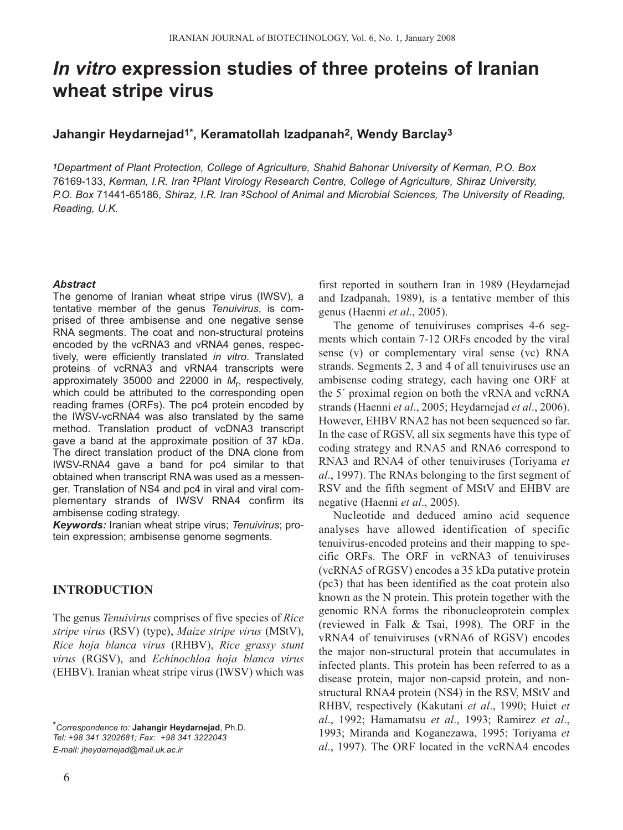# *In vitro* **expression studies of three proteins of Iranian wheat stripe virus**

# **Jahangir Heydarnejad1\*, Keramatollah Izadpanah2, Wendy Barclay3**

*<sup>1</sup>Department of Plant Protection, College of Agriculture, Shahid Bahonar University of Kerman, P.O. Box* 76169-133, *Kerman, I.R. Iran 2Plant Virology Research Centre, College of Agriculture, Shiraz University, P.O. Box* 71441-65186, *Shiraz, I.R. Iran 3School of Animal and Microbial Sciences, The University of Reading, Reading, U.K.*

#### *Abstract*

The genome of Iranian wheat stripe virus (IWSV), a tentative member of the genus *Tenuivirus*, is comprised of three ambisense and one negative sense RNA segments. The coat and non-structural proteins encoded by the vcRNA3 and vRNA4 genes, respectively, were efficiently translated *in vitro*. Translated proteins of vcRNA3 and vRNA4 transcripts were approximately 35000 and 22000 in *M*r, respectively, which could be attributed to the corresponding open reading frames (ORFs). The pc4 protein encoded by the IWSV-vcRNA4 was also translated by the same method. Translation product of vcDNA3 transcript gave a band at the approximate position of 37 kDa. The direct translation product of the DNA clone from IWSV-RNA4 gave a band for pc4 similar to that obtained when transcript RNA was used as a messenger. Translation of NS4 and pc4 in viral and viral complementary strands of IWSV RNA4 confirm its ambisense coding strategy.

*Keywords:* Iranian wheat stripe virus; *Tenuivirus*; protein expression; ambisense genome segments.

## **INTRODUCTION**

The genus *Tenuivirus* comprises of five species of *Rice stripe virus* (RSV) (type), *Maize stripe virus* (MStV), *Rice hoja blanca virus* (RHBV), *Rice grassy stunt virus* (RGSV), and *Echinochloa hoja blanca virus* (EHBV). Iranian wheat stripe virus (IWSV) which was

*\*Correspondence to:* **Jahangir Heydarnejad**, Ph.D. *Tel: +98 341 3202681; Fax: +98 341 3222043 E-mail: jheydarnejad@mail.uk.ac.ir*

first reported in southern Iran in 1989 (Heydarnejad and Izadpanah, 1989), is a tentative member of this genus (Haenni *et al*., 2005).

The genome of tenuiviruses comprises 4-6 segments which contain 7-12 ORFs encoded by the viral sense (v) or complementary viral sense (vc) RNA strands. Segments 2, 3 and 4 of all tenuiviruses use an ambisense coding strategy, each having one ORF at the 5´ proximal region on both the vRNA and vcRNA strands (Haenni *et al*., 2005; Heydarnejad *et al*., 2006). However, EHBV RNA2 has not been sequenced so far. In the case of RGSV, all six segments have this type of coding strategy and RNA5 and RNA6 correspond to RNA3 and RNA4 of other tenuiviruses (Toriyama *et al*., 1997). The RNAs belonging to the first segment of RSV and the fifth segment of MStV and EHBV are negative (Haenni *et al*., 2005).

Nucleotide and deduced amino acid sequence analyses have allowed identification of specific tenuivirus-encoded proteins and their mapping to specific ORFs. The ORF in vcRNA3 of tenuiviruses (vcRNA5 of RGSV) encodes a 35 kDa putative protein (pc3) that has been identified as the coat protein also known as the N protein. This protein together with the genomic RNA forms the ribonucleoprotein complex (reviewed in Falk & Tsai, 1998). The ORF in the vRNA4 of tenuiviruses (vRNA6 of RGSV) encodes the major non-structural protein that accumulates in infected plants. This protein has been referred to as a disease protein, major non-capsid protein, and nonstructural RNA4 protein (NS4) in the RSV, MStV and RHBV, respectively (Kakutani *et al*., 1990; Huiet *et al*., 1992; Hamamatsu *et al*., 1993; Ramirez *et al*., 1993; Miranda and Koganezawa, 1995; Toriyama *et al*., 1997). The ORF located in the vcRNA4 encodes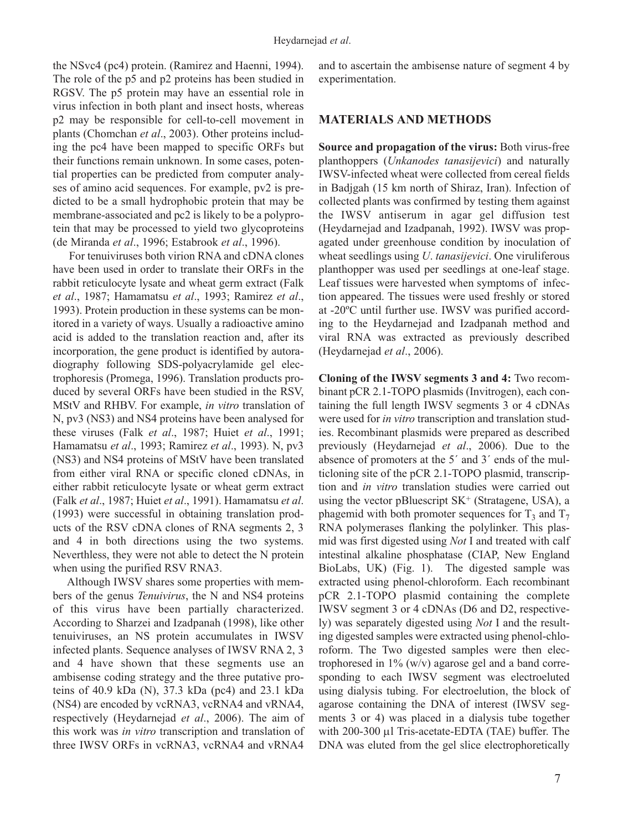the NSvc4 (pc4) protein. (Ramirez and Haenni, 1994). The role of the p5 and p2 proteins has been studied in RGSV. The p5 protein may have an essential role in virus infection in both plant and insect hosts, whereas p2 may be responsible for cell-to-cell movement in plants (Chomchan *et al*., 2003). Other proteins including the pc4 have been mapped to specific ORFs but their functions remain unknown. In some cases, potential properties can be predicted from computer analyses of amino acid sequences. For example, pv2 is predicted to be a small hydrophobic protein that may be membrane-associated and pc2 is likely to be a polyprotein that may be processed to yield two glycoproteins (de Miranda *et al*., 1996; Estabrook *et al*., 1996).

For tenuiviruses both virion RNA and cDNA clones have been used in order to translate their ORFs in the rabbit reticulocyte lysate and wheat germ extract (Falk *et al*., 1987; Hamamatsu *et al*., 1993; Ramirez *et al*., 1993). Protein production in these systems can be monitored in a variety of ways. Usually a radioactive amino acid is added to the translation reaction and, after its incorporation, the gene product is identified by autoradiography following SDS-polyacrylamide gel electrophoresis (Promega, 1996). Translation products produced by several ORFs have been studied in the RSV, MStV and RHBV. For example, *in vitro* translation of N, pv3 (NS3) and NS4 proteins have been analysed for these viruses (Falk *et al*., 1987; Huiet *et al*., 1991; Hamamatsu *et al*., 1993; Ramirez *et al*., 1993). N, pv3 (NS3) and NS4 proteins of MStV have been translated from either viral RNA or specific cloned cDNAs, in either rabbit reticulocyte lysate or wheat germ extract (Falk *et al*., 1987; Huiet *et al*., 1991). Hamamatsu *et al*. (1993) were successful in obtaining translation products of the RSV cDNA clones of RNA segments 2, 3 and 4 in both directions using the two systems. Neverthless, they were not able to detect the N protein when using the purified RSV RNA3.

Although IWSV shares some properties with members of the genus *Tenuivirus*, the N and NS4 proteins of this virus have been partially characterized. According to Sharzei and Izadpanah (1998), like other tenuiviruses, an NS protein accumulates in IWSV infected plants. Sequence analyses of IWSV RNA 2, 3 and 4 have shown that these segments use an ambisense coding strategy and the three putative proteins of 40.9 kDa (N), 37.3 kDa (pc4) and 23.1 kDa (NS4) are encoded by vcRNA3, vcRNA4 and vRNA4, respectively (Heydarnejad *et al*., 2006). The aim of this work was *in vitro* transcription and translation of three IWSV ORFs in vcRNA3, vcRNA4 and vRNA4 and to ascertain the ambisense nature of segment 4 by experimentation.

#### **MATERIALS AND METHODS**

**Source and propagation of the virus:** Both virus-free planthoppers (*Unkanodes tanasijevici*) and naturally IWSV-infected wheat were collected from cereal fields in Badjgah (15 km north of Shiraz, Iran). Infection of collected plants was confirmed by testing them against the IWSV antiserum in agar gel diffusion test (Heydarnejad and Izadpanah, 1992). IWSV was propagated under greenhouse condition by inoculation of wheat seedlings using *U*. *tanasijevici*. One viruliferous planthopper was used per seedlings at one-leaf stage. Leaf tissues were harvested when symptoms of infection appeared. The tissues were used freshly or stored at -20ºC until further use. IWSV was purified according to the Heydarnejad and Izadpanah method and viral RNA was extracted as previously described (Heydarnejad *et al*., 2006).

**Cloning of the IWSV segments 3 and 4:** Two recombinant pCR 2.1-TOPO plasmids (Invitrogen), each containing the full length IWSV segments 3 or 4 cDNAs were used for *in vitro* transcription and translation studies. Recombinant plasmids were prepared as described previously (Heydarnejad *et al*., 2006). Due to the absence of promoters at the 5´ and 3´ ends of the multicloning site of the pCR 2.1-TOPO plasmid, transcription and *in vitro* translation studies were carried out using the vector pBluescript  $SK^+$  (Stratagene, USA), a phagemid with both promoter sequences for  $T_3$  and  $T_7$ RNA polymerases flanking the polylinker. This plasmid was first digested using *Not* I and treated with calf intestinal alkaline phosphatase (CIAP, New England BioLabs, UK) (Fig. 1). The digested sample was extracted using phenol-chloroform. Each recombinant pCR 2.1-TOPO plasmid containing the complete IWSV segment 3 or 4 cDNAs (D6 and D2, respectively) was separately digested using *Not* I and the resulting digested samples were extracted using phenol-chloroform. The Two digested samples were then electrophoresed in  $1\%$  (w/v) agarose gel and a band corresponding to each IWSV segment was electroeluted using dialysis tubing. For electroelution, the block of agarose containing the DNA of interest (IWSV segments 3 or 4) was placed in a dialysis tube together with 200-300 µl Tris-acetate-EDTA (TAE) buffer. The DNA was eluted from the gel slice electrophoretically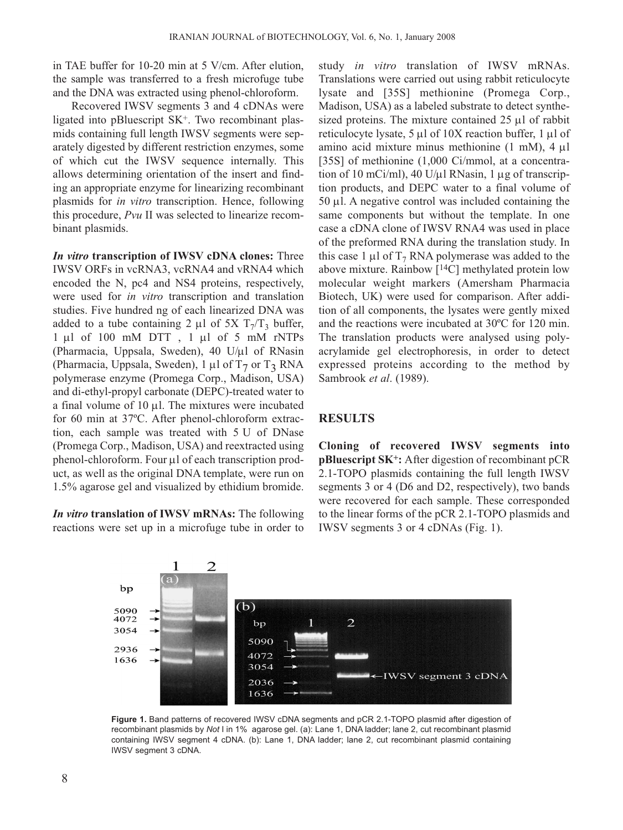in TAE buffer for 10-20 min at 5 V/cm. After elution, the sample was transferred to a fresh microfuge tube and the DNA was extracted using phenol-chloroform.

Recovered IWSV segments 3 and 4 cDNAs were ligated into pBluescript SK<sup>+</sup>. Two recombinant plasmids containing full length IWSV segments were separately digested by different restriction enzymes, some of which cut the IWSV sequence internally. This allows determining orientation of the insert and finding an appropriate enzyme for linearizing recombinant plasmids for *in vitro* transcription. Hence, following this procedure, *Pvu* II was selected to linearize recombinant plasmids.

*In vitro* **transcription of IWSV cDNA clones:** Three IWSV ORFs in vcRNA3, vcRNA4 and vRNA4 which encoded the N, pc4 and NS4 proteins, respectively, were used for *in vitro* transcription and translation studies. Five hundred ng of each linearized DNA was added to a tube containing 2  $\mu$ l of 5X T<sub>7</sub>/T<sub>3</sub> buffer, 1 µl of 100 mM DTT , 1 µl of 5 mM rNTPs (Pharmacia, Uppsala, Sweden), 40 U/ $\mu$ l of RNasin (Pharmacia, Uppsala, Sweden), 1  $\mu$ l of T<sub>7</sub> or T<sub>3</sub> RNA polymerase enzyme (Promega Corp., Madison, USA) and di-ethyl-propyl carbonate (DEPC)-treated water to a final volume of  $10 \mu l$ . The mixtures were incubated for 60 min at 37ºC. After phenol-chloroform extraction, each sample was treated with 5 U of DNase (Promega Corp., Madison, USA) and reextracted using phenol-chloroform. Four  $\mu$ l of each transcription product, as well as the original DNA template, were run on 1.5% agarose gel and visualized by ethidium bromide.

*In vitro* **translation of IWSV mRNAs:** The following reactions were set up in a microfuge tube in order to study *in vitro* translation of IWSV mRNAs. Translations were carried out using rabbit reticulocyte lysate and [35S] methionine (Promega Corp., Madison, USA) as a labeled substrate to detect synthesized proteins. The mixture contained 25 µl of rabbit reticulocyte lysate, 5 µl of 10X reaction buffer, 1 µl of amino acid mixture minus methionine (1 mM), 4 µl [35S] of methionine (1,000 Ci/mmol, at a concentration of 10 mCi/ml), 40 U/ $\mu$ l RNasin, 1  $\mu$ g of transcription products, and DEPC water to a final volume of 50 µl. A negative control was included containing the same components but without the template. In one case a cDNA clone of IWSV RNA4 was used in place of the preformed RNA during the translation study. In this case 1  $\mu$ l of T<sub>7</sub> RNA polymerase was added to the above mixture. Rainbow [14C] methylated protein low molecular weight markers (Amersham Pharmacia Biotech, UK) were used for comparison. After addition of all components, the lysates were gently mixed and the reactions were incubated at 30ºC for 120 min. The translation products were analysed using polyacrylamide gel electrophoresis, in order to detect expressed proteins according to the method by Sambrook *et al*. (1989).

### **RESULTS**

**Cloning of recovered IWSV segments into pBluescript SK+:** After digestion of recombinant pCR 2.1-TOPO plasmids containing the full length IWSV segments 3 or 4 (D6 and D2, respectively), two bands were recovered for each sample. These corresponded to the linear forms of the pCR 2.1-TOPO plasmids and IWSV segments 3 or 4 cDNAs (Fig. 1).



**Figure 1.** Band patterns of recovered IWSV cDNA segments and pCR 2.1-TOPO plasmid after digestion of recombinant plasmids by *Not* I in 1% agarose gel. (a): Lane 1, DNA ladder; lane 2, cut recombinant plasmid containing IWSV segment 4 cDNA. (b): Lane 1, DNA ladder; lane 2, cut recombinant plasmid containing IWSV segment 3 cDNA.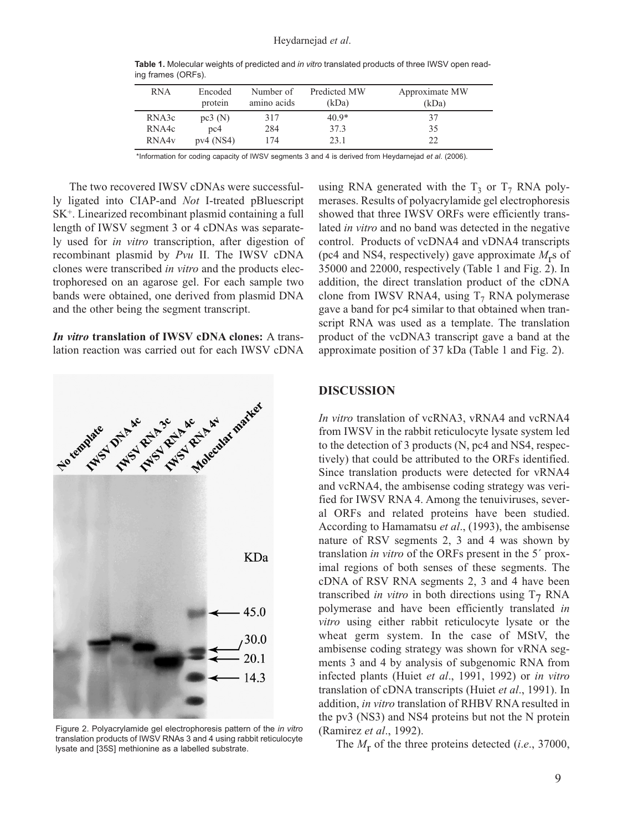| <b>RNA</b>        | Encoded<br>protein | Number of<br>amino acids | Predicted MW<br>(kDa) | Approximate MW<br>(kDa) |
|-------------------|--------------------|--------------------------|-----------------------|-------------------------|
| RNA3c             | pc3(N)             | 317                      | $40.9*$               | 37                      |
| RNA4c             | pc <sub>4</sub>    | 284                      | 37.3                  | 35                      |
| RNA4 <sub>v</sub> | $pv4$ (NS4)        | 174                      | 23.1                  | 22                      |

**Table 1.** Molecular weights of predicted and *in vitro* translated products of three IWSV open reading frames (ORFs).

\*Information for coding capacity of IWSV segments 3 and 4 is derived from Heydarnejad *et al*. (2006).

The two recovered IWSV cDNAs were successfully ligated into CIAP-and *Not* I-treated pBluescript SK+. Linearized recombinant plasmid containing a full length of IWSV segment 3 or 4 cDNAs was separately used for *in vitro* transcription, after digestion of recombinant plasmid by *Pvu* II. The IWSV cDNA clones were transcribed *in vitro* and the products electrophoresed on an agarose gel. For each sample two bands were obtained, one derived from plasmid DNA and the other being the segment transcript.

*In vitro* **translation of IWSV cDNA clones:** A translation reaction was carried out for each IWSV cDNA



Figure 2. Polyacrylamide gel electrophoresis pattern of the *in vitro* translation products of IWSV RNAs 3 and 4 using rabbit reticulocyte lysate and [35S] methionine as a labelled substrate.

using RNA generated with the  $T_3$  or  $T_7$  RNA polymerases. Results of polyacrylamide gel electrophoresis showed that three IWSV ORFs were efficiently translated *in vitro* and no band was detected in the negative control. Products of vcDNA4 and vDNA4 transcripts (pc4 and NS4, respectively) gave approximate  $M_r$ s of 35000 and 22000, respectively (Table 1 and Fig. 2). In addition, the direct translation product of the cDNA clone from IWSV RNA4, using  $T_7$  RNA polymerase gave a band for pc4 similar to that obtained when transcript RNA was used as a template. The translation product of the vcDNA3 transcript gave a band at the approximate position of 37 kDa (Table 1 and Fig. 2).

#### **DISCUSSION**

*In vitro* translation of vcRNA3, vRNA4 and vcRNA4 from IWSV in the rabbit reticulocyte lysate system led to the detection of 3 products (N, pc4 and NS4, respectively) that could be attributed to the ORFs identified. Since translation products were detected for vRNA4 and vcRNA4, the ambisense coding strategy was verified for IWSV RNA 4. Among the tenuiviruses, several ORFs and related proteins have been studied. According to Hamamatsu *et al*., (1993), the ambisense nature of RSV segments 2, 3 and 4 was shown by translation *in vitro* of the ORFs present in the 5´ proximal regions of both senses of these segments. The cDNA of RSV RNA segments 2, 3 and 4 have been transcribed *in vitro* in both directions using  $T_7$  RNA polymerase and have been efficiently translated *in vitro* using either rabbit reticulocyte lysate or the wheat germ system. In the case of MStV, the ambisense coding strategy was shown for vRNA segments 3 and 4 by analysis of subgenomic RNA from infected plants (Huiet *et al*., 1991, 1992) or *in vitro* translation of cDNA transcripts (Huiet *et al*., 1991). In addition, *in vitro* translation of RHBV RNA resulted in the pv3 (NS3) and NS4 proteins but not the N protein (Ramirez *et al*., 1992).

The *M*r of the three proteins detected (*i*.*e*., 37000,